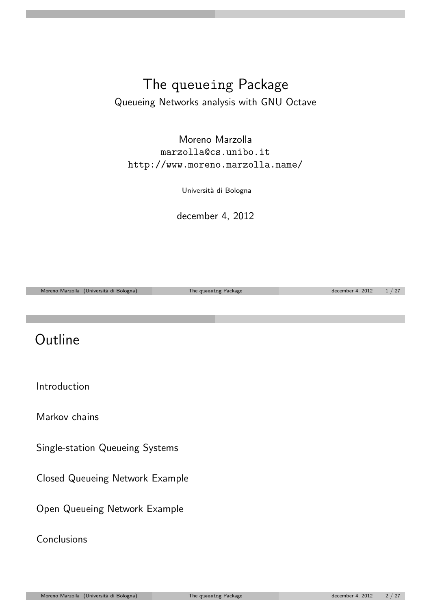#### The queueing Package Queueing Networks analysis with GNU Octave

Moreno Marzolla marzolla@cs.unibo.it http://www.moreno.marzolla.name/

Università di Bologna

december 4, 2012

Moreno Marzolla (Università di Bologna) The queueing Package december 4, 2012  $1 / 27$ 

### **Outline**

Introduction

Markov chains

Single-station Queueing Systems

[Clos](#page-2-0)ed Queueing Network Example

[Open Queueing](#page-4-0) Network Example

[Conclusions](#page-8-0)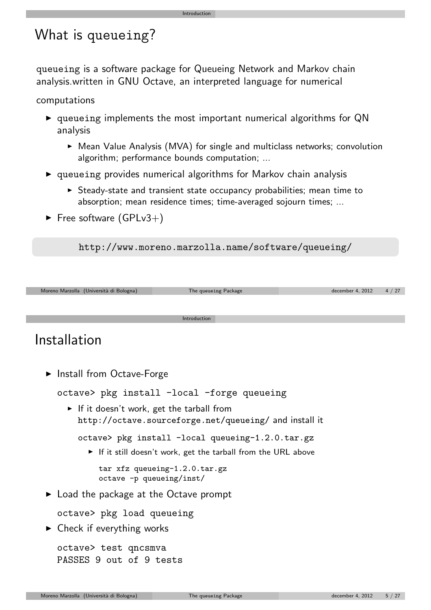# What is queueing?

queueing is a software package for Queueing Network and Markov chain analysis.written in GNU Octave, an interpreted language for numerical

Introduction

computations

- $\triangleright$  queueing implements the most important numerical algorithms for QN analysis
	- $\triangleright$  Mean Value Analysis (MVA) for single and multiclass networks; convolution algorithm; performance bounds computation; ...
- $\triangleright$  queueing provides numerical algorithms for Markov chain analysis
	- $\triangleright$  Steady-state and transient state occupancy probabilities; mean time to absorption; mean residence times; time-averaged sojourn times; ...
- $\blacktriangleright$  Free software (GPLv3+)

http://www.moreno.marzolla.name/software/queueing/



#### Installation

**Install from Octave-Forge** 

octave> pkg install -local -forge queueing

If it doesn't work, get the tarball from http://octave.sourceforge.net/queueing/ and install it

```
octave> pkg install -local queueing-1.2.0.tar.gz
```
 $\triangleright$  If it still doesn't work, get the tarball from the URL above

[t](http://www.octave.org/)ar xfz queueing-1.2.0.tar.gz [octave -p queuei](http://octave.sourceforge.net/queueing/)ng/inst/

 $\triangleright$  Load the package at the Octave prompt

octave> pkg load queueing

 $\triangleright$  Check if everything works

octave> test qncsmva PASSES 9 out of 9 tests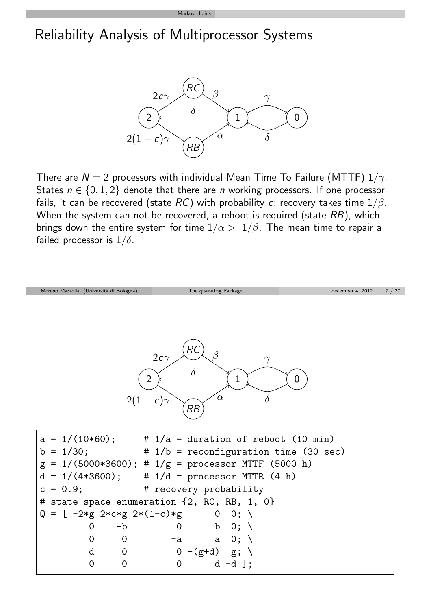#### Markov chains

## Reliability Analysis of Multiprocessor Systems



There are  $N = 2$  processors with individual Mean Time To Failure (MTTF)  $1/\gamma$ . States  $n \in \{0, 1, 2\}$  denote that there are *n* working processors. If one processor fails, it can be recovered (state  $RC$ ) with probability c; recovery takes time  $1/\beta$ . When the system can not be recovered, a reboot is required (state  $RB$ ), which brings down the entire system for time  $1/\alpha > 1/\beta$ . The mean time to repair a failed processor is  $1/\delta$ .

<span id="page-2-0"></span>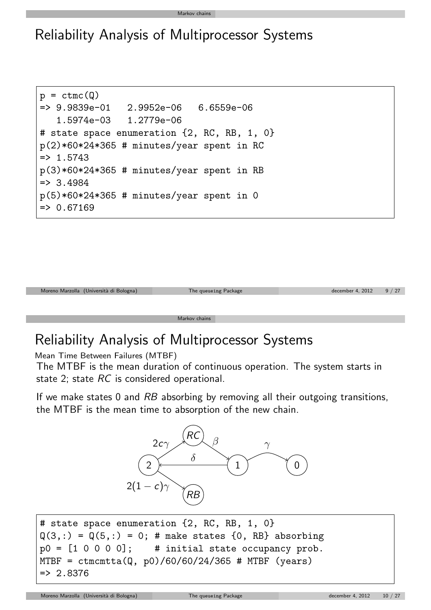#### Markov chains

#### Reliability Analysis of Multiprocessor Systems

```
p = \text{ctmc}(Q)= 2.9839e-01 2.9952e-06 6.6559e-06
   1.5974e-03 1.2779e-06
# state space enumeration \{2, RC, RB, 1, 0\}p(2)*60*24*365 # minutes/year spent in RC
\Rightarrow 1.5743
p(3)*60*24*365 # minutes/year spent in RB
= 3.4984
p(5)*60*24*365 # minutes/year spent in 0
= > 0.67169
```


## Reliability Analysis of Multiprocessor Systems

Mean Time Between Failures (MTBF)

The MTBF is the mean duration of continuous operation. The system starts in state 2; state RC is considered operational.

If we make states 0 and  $RB$  absorbing by removing all their outgoing transitions, the MTBF is the mean time to absorption of the new chain.



```
# state space enumeration {2, RC, RB, 1, 0}
Q(3,:) = Q(5,:) = 0; # make states {0, RB} absorptionp0 = [1 \ 0 \ 0 \ 0 \ 0]; \qquad # initial state occupancy prob.MTBF = ctmcmtta(Q, p0)/60/60/24/365 # MTBF (years)
= 2.8376
```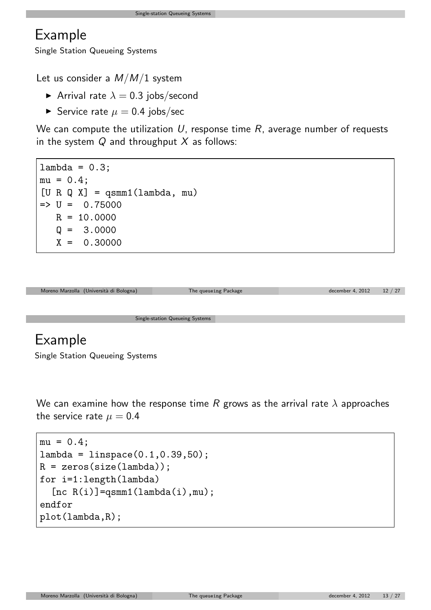#### Example

Single Station Queueing Systems

Let us consider a  $M/M/1$  system

- Arrival rate  $\lambda = 0.3$  jobs/second
- Service rate  $\mu = 0.4$  jobs/sec

We can compute the utilization  $U$ , response time  $R$ , average number of requests in the system  $Q$  and throughput  $X$  as follows:

 $lambda = 0.3$ ;  $mu = 0.4$ :  $[U R Q X] = q \text{smm1}(lambda, mu)$  $\Rightarrow$  U = 0.75000  $R = 10.0000$  $Q = 3.0000$  $X = 0.30000$ 



#### Example

Single Station Queueing Systems

We can examine how the response time R grows as the arrival rate  $\lambda$  approaches the service rate  $\mu = 0.4$ 

```
mu = 0.4;
lambda = 1inspace(0.1, 0.39, 50);
R = zeros(size(lambda)):
for i=1:length(lambda)
  [nc R(i)] = qsum1(lambda(i),mu);endfor
plot(lambda,R);
```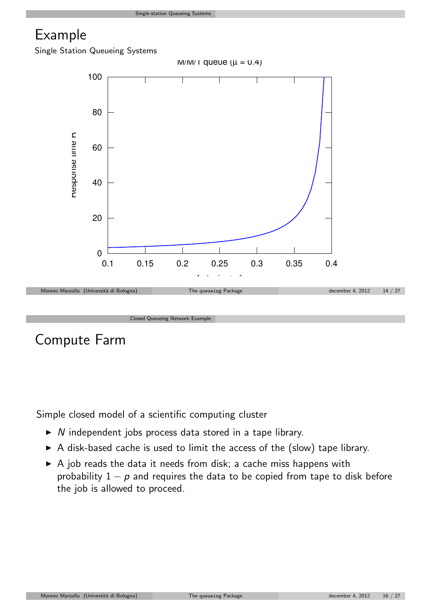#### Example

Single Station Queueing Systems



Compute Farm

Simple closed model of a scientific computing cluster

- $\triangleright$  N independent jobs process data stored in a tape library.
- $\triangleright$  A disk-based cache is used to limit the access of the (slow) tape library.
- $\triangleright$  A job reads the data it needs from disk; a cache miss happens with probability  $1 - p$  and requires the data to be copied from tape to disk before the job is allowed to proceed.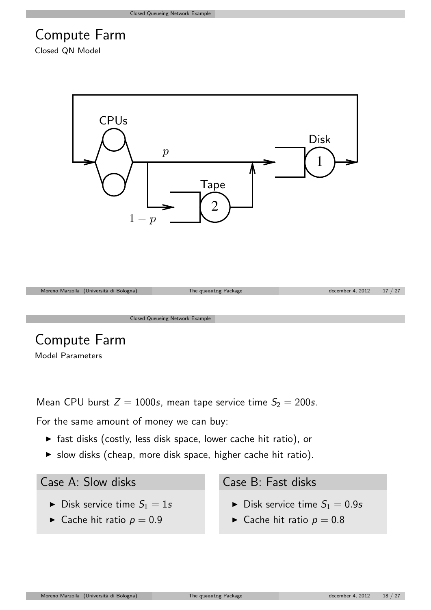# Compute Farm

Closed QN Model



## Compute Farm

Model Parameters

Mean CPU burst  $Z = 1000s$ , mean tape service time  $S_2 = 200s$ .

For the same amount of money we can buy:

- $\triangleright$  fast disks (costly, less disk space, lower cache hit ratio), or
- $\triangleright$  slow disks (cheap, more disk space, higher cache hit ratio).

Case A: Slow disks

- $\blacktriangleright$  Disk service time  $S_1 = 1s$
- $\triangleright$  Cache hit ratio  $p = 0.9$

Case B: Fast disks

- $\blacktriangleright$  Disk service time  $S_1 = 0.9s$
- $\triangleright$  Cache hit ratio  $p = 0.8$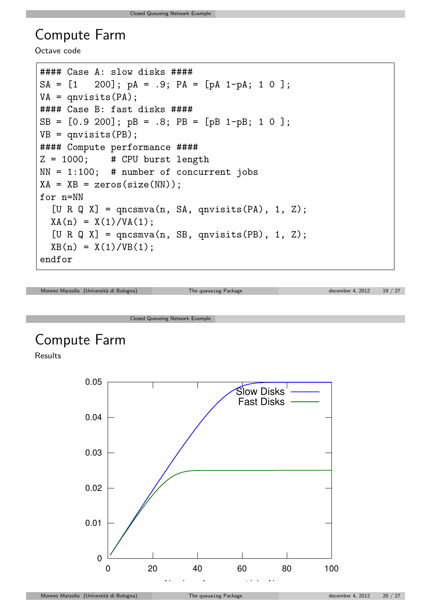#### Compute Farm

Octave code

```
#### Case A: slow disks ####
SA = [1 \ 200]; pA = .9; PA = [pA 1-pA; 1 0];VA = qnvisits(PA);
#### Case B: fast disks ####
SB = [0.9 200]; pB = .8; PB = [pB 1-pB; 1 0 ];
VB = qnvisits(PB);
#### Compute performance ####
Z = 1000; # CPU burst length
NN = 1:100; # number of concurrent jobs
XA = XB = zeros(size(NN));for n=NN
  [U R Q X] = qncsmva(n, SA, qnvisits(PA), 1, Z);XA(n) = X(1)/VA(1);
  [U R Q X] = qncsmva(n, SB, qnvisits(PB), 1, Z);XB(n) = X(1)/VB(1);endfor
```

```
Moreno Marzolla (Università di Bologna) The queueing Package december 4, 2012 19 / 27
```
Closed Queueing Network Example

# Compute Farm

Results

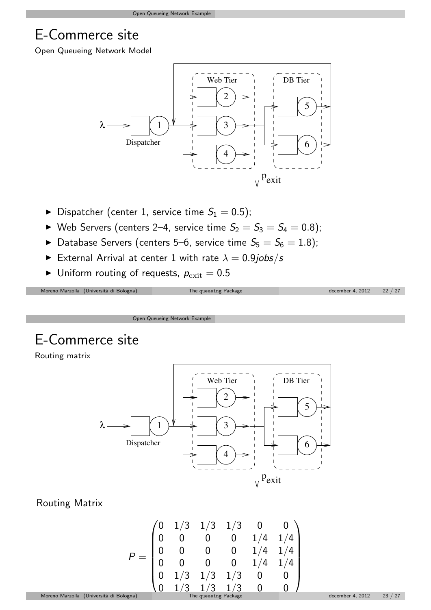# E-Commerce site

Open Queueing Network Model



- $\blacktriangleright$  Dispatcher (center 1, service time  $S_1 = 0.5$ );
- $\blacktriangleright$  Web Servers (centers 2–4, service time  $S_2 = S_3 = S_4 = 0.8$ );
- $\blacktriangleright$  Database Servers (centers 5–6, service time  $S_5=S_6=1.8$ );
- External Arrival at center 1 with rate  $\lambda = 0.9$ jobs/s
- $\blacktriangleright$  Uniform routing of requests,  $p_{\text{exit}} = 0.5$

| Moreno Marzolla (Università di Bologna) | The queueing Package | december 4, 2012 22 / 27 |  |
|-----------------------------------------|----------------------|--------------------------|--|
|                                         |                      |                          |  |

Open Queueing Network Example

# E-Commerce site

Routing matrix

Г



#### Routing Matrix

<span id="page-8-0"></span>
$$
P = \begin{pmatrix} 0 & 1/3 & 1/3 & 1/3 & 0 & 0 \\ 0 & 0 & 0 & 0 & 1/4 & 1/4 \\ 0 & 0 & 0 & 0 & 1/4 & 1/4 \\ 0 & 0 & 0 & 0 & 1/4 & 1/4 \\ 0 & 1/3 & 1/3 & 1/3 & 0 & 0 \\ 0 & 1/3 & 1/3 & 1/3 & 0 & 0 \end{pmatrix}
$$
  
\nMoreno Marzolla (Università di Bologna)  
\nThe queueing Package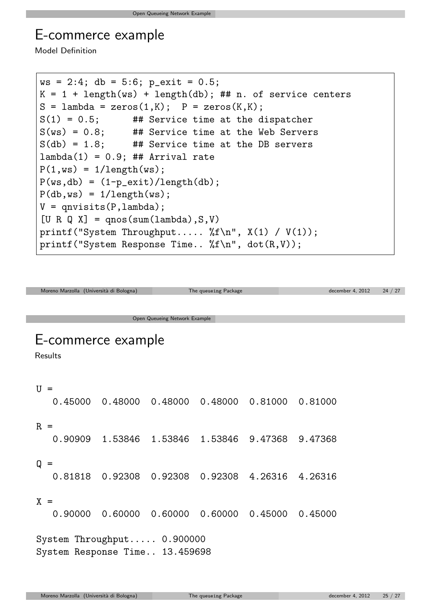#### E-commerce example

Model Definition

```
ws = 2:4; db = 5:6; p_exit = 0.5;
K = 1 + length(ws) + length(db); ## n. of service centersS =lambda = zeros(1,K); P = zeros(K,K);
S(1) = 0.5; ## Service time at the dispatcher
S(ws) = 0.8; ## Service time at the Web Servers
S(db) = 1.8; ## Service time at the DB servers
lambda(1) = 0.9; ## Arrival rate
P(1, ws) = 1/length(ws);P(ws, db) = (1-p\_exit)/length(db);P(db,ws) = 1/length(ws);V =qnvisits(P,lambda);
[U R Q X] = qnos(sum(lambda), S, V)printf("System Throughput..... \frac{f(n)}{n}, X(1) / V(1));
printf("System Response Time.. \frac{\pi}{n}, dot(R,V));
```
Moreno Marzolla (Università di Bologna) The queueing Package december 4, 2012 24 / 27 Open Queueing Network Example E-commerce example Results  $U =$ 0.45000 0.48000 0.48000 0.48000 0.81000 0.81000  $R =$ 0.90909 1.53846 1.53846 1.53846 9.47368 9.47368  $Q =$ 0.81818 0.92308 0.92308 0.92308 4.26316 4.26316  $X =$ 0.90000 0.60000 0.60000 0.60000 0.45000 0.45000 System Throughput..... 0.900000 System Response Time.. 13.459698